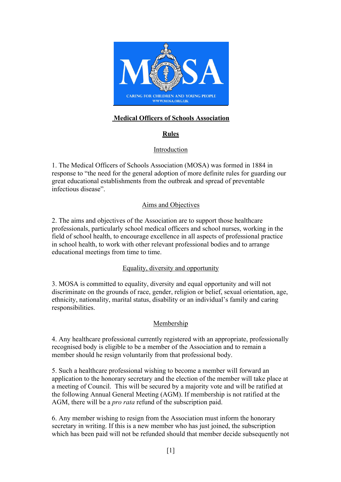

# **Medical Officers of Schools Association**

# **Rules**

# Introduction

1. The Medical Officers of Schools Association (MOSA) was formed in 1884 in response to "the need for the general adoption of more definite rules for guarding our great educational establishments from the outbreak and spread of preventable infectious disease".

## Aims and Objectives

2. The aims and objectives of the Association are to support those healthcare professionals, particularly school medical officers and school nurses, working in the field of school health, to encourage excellence in all aspects of professional practice in school health, to work with other relevant professional bodies and to arrange educational meetings from time to time.

## Equality, diversity and opportunity

3. MOSA is committed to equality, diversity and equal opportunity and will not discriminate on the grounds of race, gender, religion or belief, sexual orientation, age, ethnicity, nationality, marital status, disability or an individual's family and caring responsibilities.

## Membership

4. Any healthcare professional currently registered with an appropriate, professionally recognised body is eligible to be a member of the Association and to remain a member should he resign voluntarily from that professional body.

5. Such a healthcare professional wishing to become a member will forward an application to the honorary secretary and the election of the member will take place at a meeting of Council. This will be secured by a majority vote and will be ratified at the following Annual General Meeting (AGM). If membership is not ratified at the AGM, there will be a *pro rata* refund of the subscription paid.

6. Any member wishing to resign from the Association must inform the honorary secretary in writing. If this is a new member who has just joined, the subscription which has been paid will not be refunded should that member decide subsequently not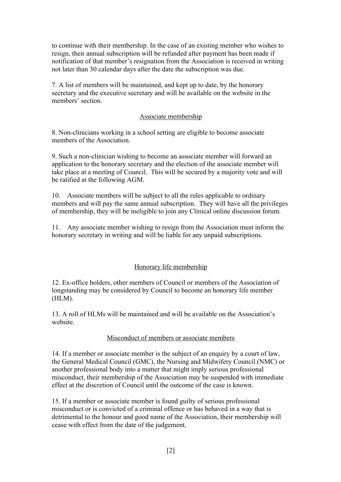to continue with their membership. In the case of an existing member who wishes to resign, their annual subscription will be refunded after payment has been made if notification of that member's resignation from the Association is received in writing not later than 30 calendar days after the date the subscription was due.

7. A list of members will be maintained, and kept up to date, by the honorary secretary and the executive secretary and will be available on the website in the members' section.

### Associate membership

8. Non-clinicians working in a school setting are eligible to become associate members of the Association.

9. Such a non-clinician wishing to become an associate member will forward an application to the honorary secretary and the election of the associate member will take place at a meeting of Council. This will be secured by a majority vote and will be ratified at the following AGM.

10. Associate members will be subject to all the rules applicable to ordinary members and will pay the same annual subscription. They will have all the privileges of membership, they will be ineligible to join any Clinical online discussion forum.

11. Any associate member wishing to resign from the Association must inform the honorary secretary in writing and will be liable for any unpaid subscriptions.

## Honorary life membership

12. Ex-office holders, other members of Council or members of the Association of longstanding may be considered by Council to become an honorary life member (HLM).

13. A roll of HLMs will be maintained and will be available on the Association's website.

## Misconduct of members or associate members

14. If a member or associate member is the subject of an enquiry by a court of law, the General Medical Council (GMC), the Nursing and Midwifery Council (NMC) or another professional body into a matter that might imply serious professional misconduct, their membership of the Association may be suspended with immediate effect at the discretion of Council until the outcome of the case is known.

15. If a member or associate member is found guilty of serious professional misconduct or is convicted of a criminal offence or has behaved in a way that is detrimental to the honour and good name of the Association, their membership will cease with effect from the date of the judgement.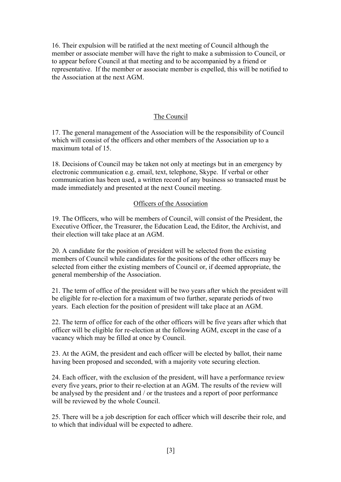16. Their expulsion will be ratified at the next meeting of Council although the member or associate member will have the right to make a submission to Council, or to appear before Council at that meeting and to be accompanied by a friend or representative. If the member or associate member is expelled, this will be notified to the Association at the next AGM.

## The Council

17. The general management of the Association will be the responsibility of Council which will consist of the officers and other members of the Association up to a maximum total of 15.

18. Decisions of Council may be taken not only at meetings but in an emergency by electronic communication e.g. email, text, telephone, Skype. If verbal or other communication has been used, a written record of any business so transacted must be made immediately and presented at the next Council meeting.

#### Officers of the Association

19. The Officers, who will be members of Council, will consist of the President, the Executive Officer, the Treasurer, the Education Lead, the Editor, the Archivist, and their election will take place at an AGM.

20. A candidate for the position of president will be selected from the existing members of Council while candidates for the positions of the other officers may be selected from either the existing members of Council or, if deemed appropriate, the general membership of the Association.

21. The term of office of the president will be two years after which the president will be eligible for re-election for a maximum of two further, separate periods of two years. Each election for the position of president will take place at an AGM.

22. The term of office for each of the other officers will be five years after which that officer will be eligible for re-election at the following AGM, except in the case of a vacancy which may be filled at once by Council.

23. At the AGM, the president and each officer will be elected by ballot, their name having been proposed and seconded, with a majority vote securing election.

24. Each officer, with the exclusion of the president, will have a performance review every five years, prior to their re-election at an AGM. The results of the review will be analysed by the president and / or the trustees and a report of poor performance will be reviewed by the whole Council.

25. There will be a job description for each officer which will describe their role, and to which that individual will be expected to adhere.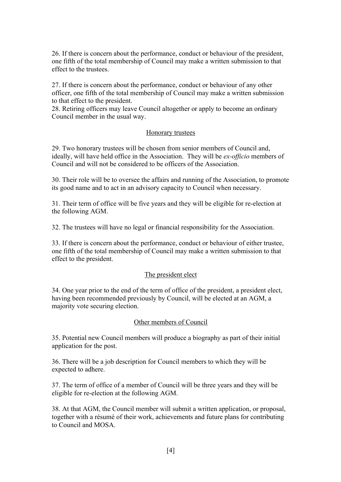26. If there is concern about the performance, conduct or behaviour of the president, one fifth of the total membership of Council may make a written submission to that effect to the trustees.

27. If there is concern about the performance, conduct or behaviour of any other officer, one fifth of the total membership of Council may make a written submission to that effect to the president.

28. Retiring officers may leave Council altogether or apply to become an ordinary Council member in the usual way.

#### Honorary trustees

29. Two honorary trustees will be chosen from senior members of Council and, ideally, will have held office in the Association. They will be *ex-officio* members of Council and will not be considered to be officers of the Association.

30. Their role will be to oversee the affairs and running of the Association, to promote its good name and to act in an advisory capacity to Council when necessary.

31. Their term of office will be five years and they will be eligible for re-election at the following AGM.

32. The trustees will have no legal or financial responsibility for the Association.

33. If there is concern about the performance, conduct or behaviour of either trustee, one fifth of the total membership of Council may make a written submission to that effect to the president.

#### The president elect

34. One year prior to the end of the term of office of the president, a president elect, having been recommended previously by Council, will be elected at an AGM, a majority vote securing election.

#### Other members of Council

35. Potential new Council members will produce a biography as part of their initial application for the post.

36. There will be a job description for Council members to which they will be expected to adhere.

37. The term of office of a member of Council will be three years and they will be eligible for re-election at the following AGM.

38. At that AGM, the Council member will submit a written application, or proposal, together with a résumé of their work, achievements and future plans for contributing to Council and MOSA.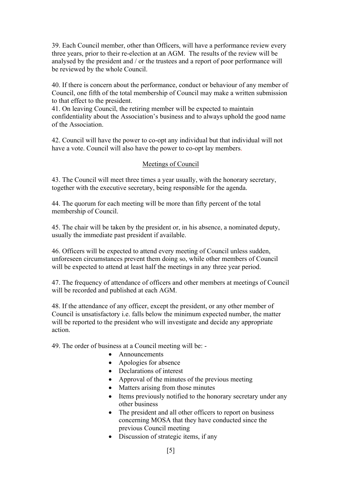39. Each Council member, other than Officers, will have a performance review every three years, prior to their re-election at an AGM. The results of the review will be analysed by the president and / or the trustees and a report of poor performance will be reviewed by the whole Council.

40. If there is concern about the performance, conduct or behaviour of any member of Council, one fifth of the total membership of Council may make a written submission to that effect to the president.

41. On leaving Council, the retiring member will be expected to maintain confidentiality about the Association's business and to always uphold the good name of the Association.

42. Council will have the power to co-opt any individual but that individual will not have a vote. Council will also have the power to co-opt lay members.

## Meetings of Council

43. The Council will meet three times a year usually, with the honorary secretary, together with the executive secretary, being responsible for the agenda.

44. The quorum for each meeting will be more than fifty percent of the total membership of Council.

45. The chair will be taken by the president or, in his absence, a nominated deputy, usually the immediate past president if available.

46. Officers will be expected to attend every meeting of Council unless sudden, unforeseen circumstances prevent them doing so, while other members of Council will be expected to attend at least half the meetings in any three year period.

47. The frequency of attendance of officers and other members at meetings of Council will be recorded and published at each AGM.

48. If the attendance of any officer, except the president, or any other member of Council is unsatisfactory i.e. falls below the minimum expected number, the matter will be reported to the president who will investigate and decide any appropriate action.

49. The order of business at a Council meeting will be: -

- Announcements
- Apologies for absence
- Declarations of interest
- Approval of the minutes of the previous meeting
- Matters arising from those minutes
- Items previously notified to the honorary secretary under any other business
- The president and all other officers to report on business concerning MOSA that they have conducted since the previous Council meeting
- Discussion of strategic items, if any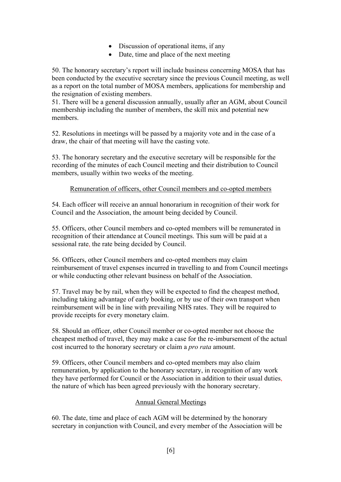- Discussion of operational items, if any
- Date, time and place of the next meeting

50. The honorary secretary's report will include business concerning MOSA that has been conducted by the executive secretary since the previous Council meeting, as well as a report on the total number of MOSA members, applications for membership and the resignation of existing members.

51. There will be a general discussion annually, usually after an AGM, about Council membership including the number of members, the skill mix and potential new members.

52. Resolutions in meetings will be passed by a majority vote and in the case of a draw, the chair of that meeting will have the casting vote.

53. The honorary secretary and the executive secretary will be responsible for the recording of the minutes of each Council meeting and their distribution to Council members, usually within two weeks of the meeting.

## Remuneration of officers, other Council members and co-opted members

54. Each officer will receive an annual honorarium in recognition of their work for Council and the Association, the amount being decided by Council.

55. Officers, other Council members and co-opted members will be remunerated in recognition of their attendance at Council meetings. This sum will be paid at a sessional rate, the rate being decided by Council.

56. Officers, other Council members and co-opted members may claim reimbursement of travel expenses incurred in travelling to and from Council meetings or while conducting other relevant business on behalf of the Association.

57. Travel may be by rail, when they will be expected to find the cheapest method, including taking advantage of early booking, or by use of their own transport when reimbursement will be in line with prevailing NHS rates. They will be required to provide receipts for every monetary claim.

58. Should an officer, other Council member or co-opted member not choose the cheapest method of travel, they may make a case for the re-imbursement of the actual cost incurred to the honorary secretary or claim a *pro rata* amount.

59. Officers, other Council members and co-opted members may also claim remuneration, by application to the honorary secretary, in recognition of any work they have performed for Council or the Association in addition to their usual duties, the nature of which has been agreed previously with the honorary secretary.

## Annual General Meetings

60. The date, time and place of each AGM will be determined by the honorary secretary in conjunction with Council, and every member of the Association will be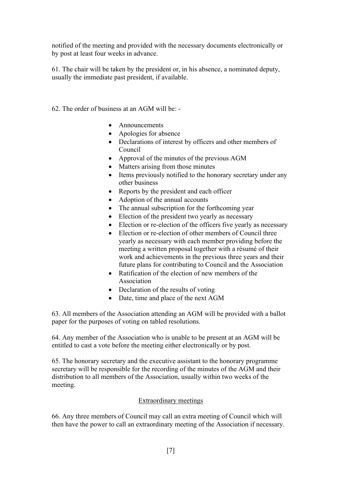notified of the meeting and provided with the necessary documents electronically or by post at least four weeks in advance.

61. The chair will be taken by the president or, in his absence, a nominated deputy, usually the immediate past president, if available.

62. The order of business at an AGM will be: -

- Announcements
- Apologies for absence
- Declarations of interest by officers and other members of Council
- Approval of the minutes of the previous AGM
- Matters arising from those minutes
- Items previously notified to the honorary secretary under any other business
- Reports by the president and each officer
- Adoption of the annual accounts
- The annual subscription for the forthcoming year
- Election of the president two yearly as necessary
- Election or re-election of the officers five yearly as necessary
- Election or re-election of other members of Council three yearly as necessary with each member providing before the meeting a written proposal together with a résumé of their work and achievements in the previous three years and their future plans for contributing to Council and the Association
- Ratification of the election of new members of the Association
- Declaration of the results of voting
- Date, time and place of the next AGM

63. All members of the Association attending an AGM will be provided with a ballot paper for the purposes of voting on tabled resolutions.

64. Any member of the Association who is unable to be present at an AGM will be entitled to cast a vote before the meeting either electronically or by post.

65. The honorary secretary and the executive assistant to the honorary programme secretary will be responsible for the recording of the minutes of the AGM and their distribution to all members of the Association, usually within two weeks of the meeting.

## Extraordinary meetings

66. Any three members of Council may call an extra meeting of Council which will then have the power to call an extraordinary meeting of the Association if necessary.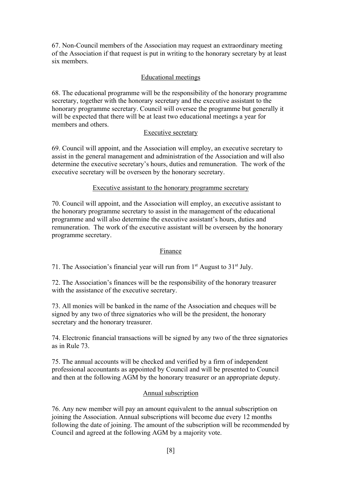67. Non-Council members of the Association may request an extraordinary meeting of the Association if that request is put in writing to the honorary secretary by at least six members.

## Educational meetings

68. The educational programme will be the responsibility of the honorary programme secretary, together with the honorary secretary and the executive assistant to the honorary programme secretary. Council will oversee the programme but generally it will be expected that there will be at least two educational meetings a year for members and others.

## Executive secretary

69. Council will appoint, and the Association will employ, an executive secretary to assist in the general management and administration of the Association and will also determine the executive secretary's hours, duties and remuneration. The work of the executive secretary will be overseen by the honorary secretary.

#### Executive assistant to the honorary programme secretary

70. Council will appoint, and the Association will employ, an executive assistant to the honorary programme secretary to assist in the management of the educational programme and will also determine the executive assistant's hours, duties and remuneration. The work of the executive assistant will be overseen by the honorary programme secretary.

## Finance

71. The Association's financial year will run from  $1<sup>st</sup>$  August to  $31<sup>st</sup>$  July.

72. The Association's finances will be the responsibility of the honorary treasurer with the assistance of the executive secretary.

73. All monies will be banked in the name of the Association and cheques will be signed by any two of three signatories who will be the president, the honorary secretary and the honorary treasurer.

74. Electronic financial transactions will be signed by any two of the three signatories as in Rule 73.

75. The annual accounts will be checked and verified by a firm of independent professional accountants as appointed by Council and will be presented to Council and then at the following AGM by the honorary treasurer or an appropriate deputy.

#### Annual subscription

76. Any new member will pay an amount equivalent to the annual subscription on joining the Association. Annual subscriptions will become due every 12 months following the date of joining. The amount of the subscription will be recommended by Council and agreed at the following AGM by a majority vote.